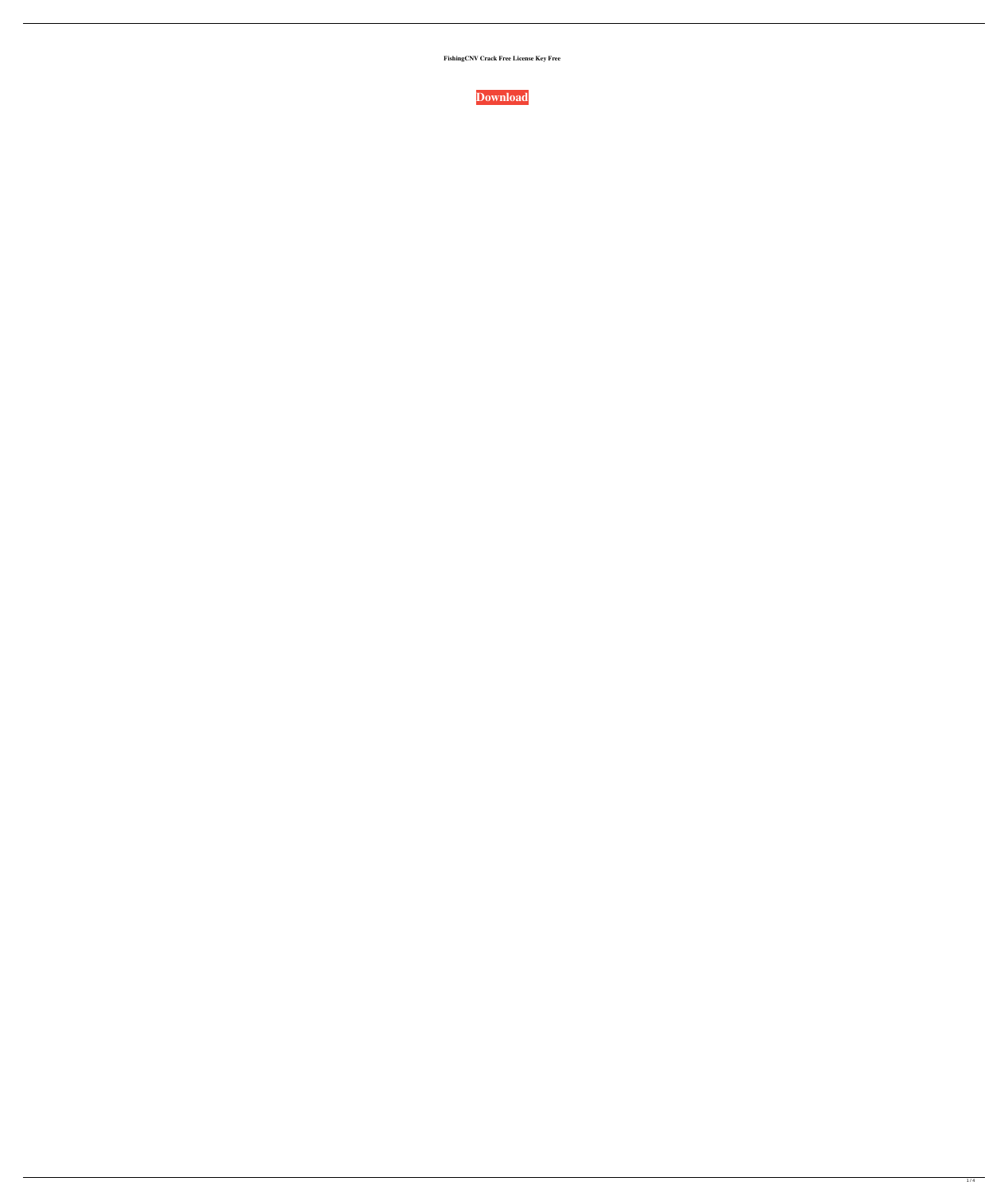**FishingCNV Crack Free License Key Free**

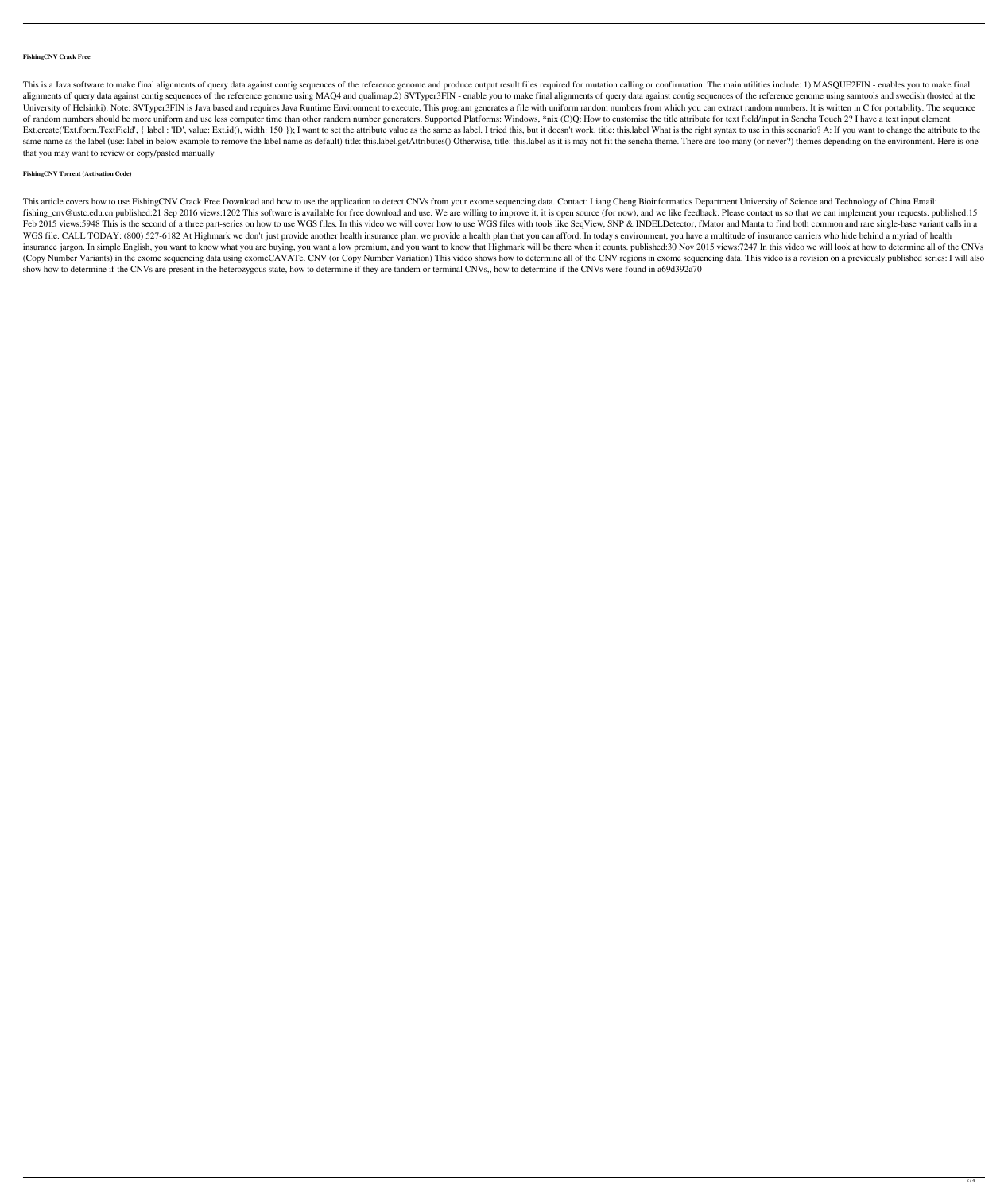## **FishingCNV Crack Free**

This is a Java software to make final alignments of query data against contig sequences of the reference genome and produce output result files required for mutation calling or confirmation. The main utilities include: 1) alignments of query data against contig sequences of the reference genome using MAQ4 and qualimap.2) SVTyper3FIN - enable you to make final alignments of query data against contig sequences of the reference genome using sa University of Helsinki). Note: SVTyper3FIN is Java based and requires Java Runtime Environment to execute, This program generates a file with uniform random numbers from which you can extract random numbers. It is written of random numbers should be more uniform and use less computer time than other random number generators. Supported Platforms: Windows, \*nix (C)Q: How to customise the title attribute for text field/input in Sencha Touch 2? Ext.create('Ext.form.TextField', { label : 'ID', value: Ext.id(), width: 150 }); I want to set the attribute value as the same as label. I tried this, but it doesn't work. title: this.label What is the right syntax to use same name as the label (use: label in below example to remove the label name as default) title: this.label.getAttributes() Otherwise, title: this.label as it is may not fit the sencha theme. There are too many (or never?) that you may want to review or copy/pasted manually

## **FishingCNV Torrent (Activation Code)**

This article covers how to use FishingCNV Crack Free Download and how to use the application to detect CNVs from your exome sequencing data. Contact: Liang Cheng Bioinformatics Department University of Science and Technolo fishing\_cnv@ustc.edu.cn published:21 Sep 2016 views:1202 This software is available for free download and use. We are willing to improve it, it is open source (for now), and we like feedback. Please contact us so that we c Feb 2015 views:5948 This is the second of a three part-series on how to use WGS files. In this video we will cover how to use WGS files with tools like SeqView, SNP & INDELDetector, fMator and Manta to find both common and WGS file. CALL TODAY: (800) 527-6182 At Highmark we don't just provide another health insurance plan, we provide a health plan that you can afford. In today's environment, you have a multitude of insurance carriers who hid insurance jargon. In simple English, you want to know what you are buying, you want a low premium, and you want to know that Highmark will be there when it counts. published:30 Nov 2015 views:7247 In this video we will loo (Copy Number Variants) in the exome sequencing data using exomeCAVATe. CNV (or Copy Number Variation) This video shows how to determine all of the CNV regions in exome sequencing data. This video is a revision on a previou show how to determine if the CNVs are present in the heterozygous state, how to determine if they are tandem or terminal CNVs,, how to determine if the CNVs were found in a69d392a70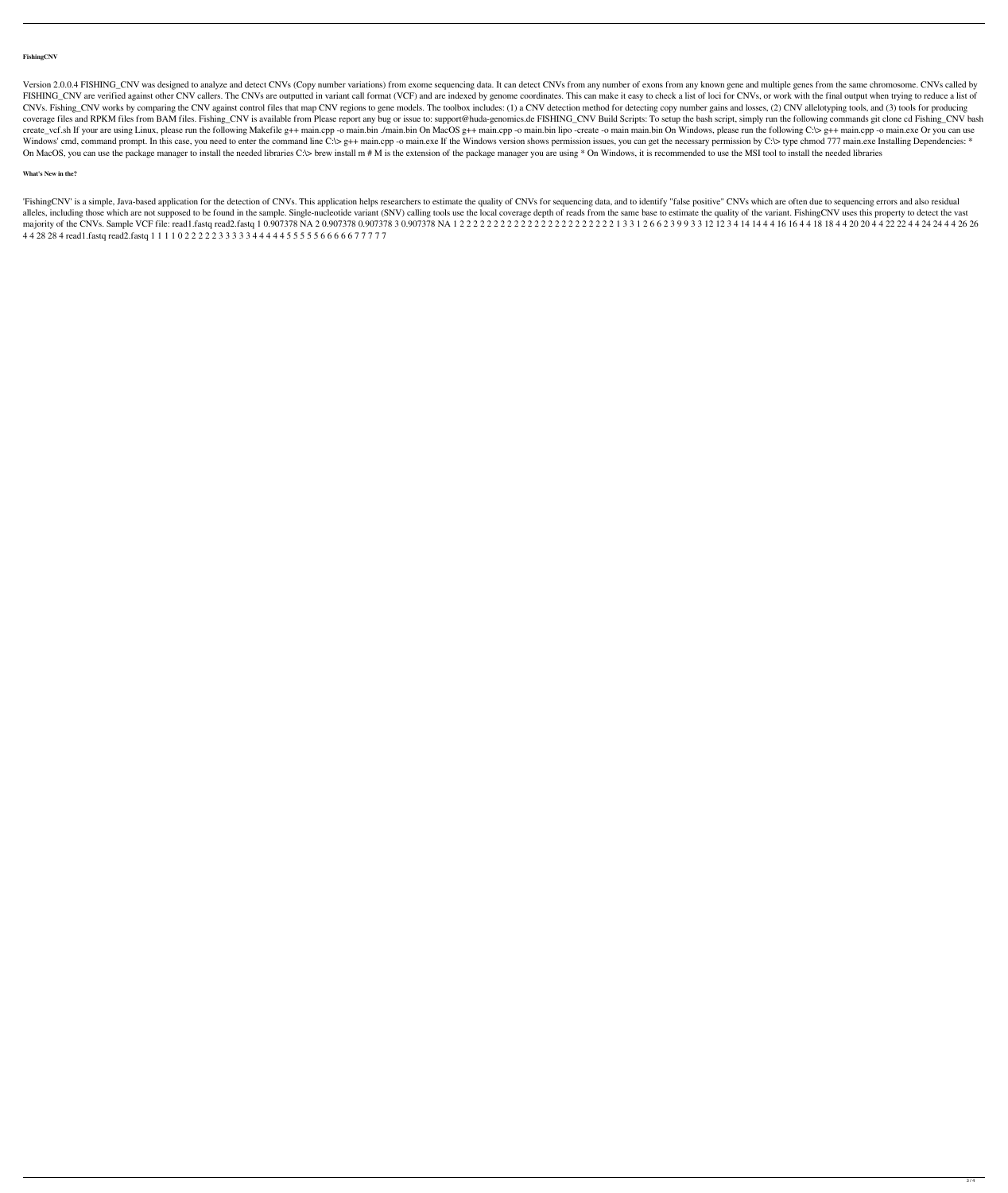## **FishingCNV**

Version 2.0.0.4 FISHING\_CNV was designed to analyze and detect CNVs (Copy number variations) from exome sequencing data. It can detect CNVs from any humber of exons from any humber of exons from any known gene and multiple FISHING\_CNV are verified against other CNV callers. The CNVs are outputted in variant call format (VCF) and are indexed by genome coordinates. This can make it easy to check a list of loci for CNVs, or work with the final CNVs. Fishing\_CNV works by comparing the CNV against control files that map CNV regions to gene models. The toolbox includes: (1) a CNV detecting copy number gains and losses, (2) CNV allelotyping tools, and (3) tools for coverage files and RPKM files from BAM files. Fishing\_CNV is available from Please report any bug or issue to: support@huda-genomics.de FISHING\_CNV Build Scripts: To setup the bash script, simply run the following commands create\_vcf.sh If your are using Linux, please run the following Makefile g++ main.cpp -o main.bin On MacOS g++ main.cpp -o main.bin lipo -create -o main main.bin On Windows, please run the following C:\> g++ main.cpp -o ma Windows' cmd, command prompt. In this case, you need to enter the command line C:\> g++ main.cpp -o main.exe If the Windows version shows permission issues, you can get the necessary permission by C:\> type chmod 777 main. On MacOS, you can use the package manager to install the needed libraries C:\> brew install m # M is the extension of the package manager you are using \* On Windows, it is recommended to use the MSI tool to install the nee

'FishingCNV' is a simple, Java-based application for the detection of CNVs. This application helps researchers to estimate the quality of CNVs for sequencing data, and to identify "false positive" CNVs which are often due alleles, including those which are not supposed to be found in the sample. Single-nucleotide variant (SNV) calling tools use the local coverage depth of reads from the same base to estimate the quality of the variant. Fish majority of the CNVs. Sample VCF file: read1.fastq read2.fastq 1 0.907378 NA 2 0.907378 0.907378 3 0.907378 NA 1 2 2 2 2 2 2 2 2 2 2 2 2 2 2 2 2 2 2 2 2 2 2 2 1 3 3 1 2 6 6 2 3 9 9 3 3 12 12 3 4 14 14 4 4 16 16 4 4 18 18 4 4 20 20 4 4 22 22 4 4 24 24 4 4 26 26 4 4 28 28 4 read1.fastq read2.fastq 1 1 1 1 0 2 2 2 2 2 3 3 3 3 3 4 4 4 4 4 5 5 5 5 5 6 6 6 6 6 7 7 7 7 7

# **What's New in the?**